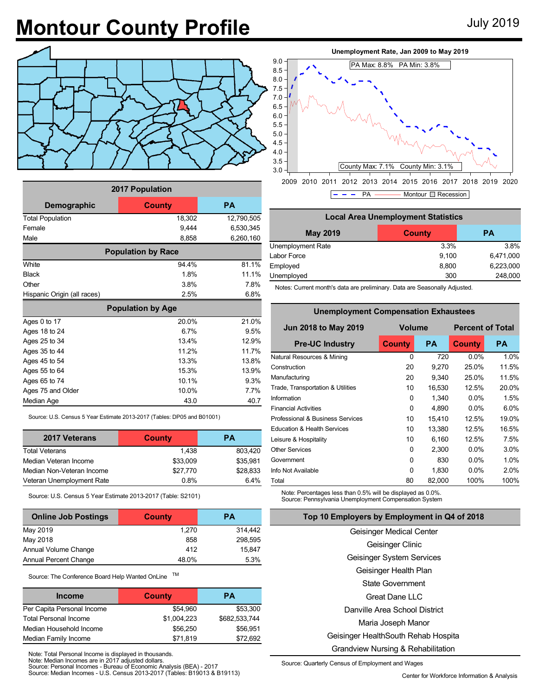## **Montour County Profile** July 2019



| 2017 Population             |                           |            |  |  |  |  |
|-----------------------------|---------------------------|------------|--|--|--|--|
| Demographic                 | County                    | <b>PA</b>  |  |  |  |  |
| <b>Total Population</b>     | 18,302                    | 12,790,505 |  |  |  |  |
| Female                      | 9,444                     | 6,530,345  |  |  |  |  |
| Male                        | 8,858                     | 6,260,160  |  |  |  |  |
|                             | <b>Population by Race</b> |            |  |  |  |  |
| White                       | 94 4%                     | 81.1%      |  |  |  |  |
| <b>Black</b>                | 1.8%                      | 11.1%      |  |  |  |  |
| Other                       | 3.8%                      | 7.8%       |  |  |  |  |
| Hispanic Origin (all races) | 2.5%                      | 6.8%       |  |  |  |  |
| <b>Population by Age</b>    |                           |            |  |  |  |  |
| Ages 0 to 17                | 20.0%                     | 21.0%      |  |  |  |  |
| Ages 18 to 24               | 6.7%                      | 9.5%       |  |  |  |  |
| Ages 25 to 34               | 134%                      | 12.9%      |  |  |  |  |
| Ages 35 to 44               | 11 2%                     | 117%       |  |  |  |  |
| Ages 45 to 54               | 13.3%                     | 13.8%      |  |  |  |  |
| Ages 55 to 64               | 15.3%                     | 13.9%      |  |  |  |  |
| Ages 65 to 74               | 10.1%                     | 9.3%       |  |  |  |  |
| Ages 75 and Older           | 10.0%                     | 77%        |  |  |  |  |
| Median Age                  | 43.0                      | 40.7       |  |  |  |  |

Source: U.S. Census 5 Year Estimate 2013-2017 (Tables: DP05 and B01001)

| 2017 Veterans             | <b>County</b> | PА       |
|---------------------------|---------------|----------|
| <b>Total Veterans</b>     | 1.438         | 803,420  |
| Median Veteran Income     | \$33,009      | \$35,981 |
| Median Non-Veteran Income | \$27,770      | \$28,833 |
| Veteran Unemployment Rate | 0.8%          | 64%      |

Source: U.S. Census 5 Year Estimate 2013-2017 (Table: S2101)

| <b>Online Job Postings</b>   | <b>County</b> | <b>PA</b> |
|------------------------------|---------------|-----------|
| May 2019                     | 1,270         | 314,442   |
| May 2018                     | 858           | 298,595   |
| Annual Volume Change         | 412           | 15.847    |
| <b>Annual Percent Change</b> | 48.0%         | 5.3%      |

Source: The Conference Board Help Wanted OnLine TM

| <b>Income</b>                | County      | PА            |
|------------------------------|-------------|---------------|
| Per Capita Personal Income   | \$54.960    | \$53,300      |
| <b>Total Personal Income</b> | \$1.004.223 | \$682.533.744 |
| Median Household Income      | \$56,250    | \$56,951      |
| Median Family Income         | \$71,819    | \$72.692      |

Note: Total Personal Income is displayed in thousands.

Note: Median Incomes are in 2017 adjusted dollars. Source: Personal Incomes - Bureau of Economic Analysis (BEA) - 2017

Source: Median Incomes - U.S. Census 2013-2017 (Tables: B19013 & B19113) Center for Workforce Information & Analysis



2009 2010 2011 2012 2013 2014 2015 2016 2017 2018 2019 2020  $\sim$   $-$ PA ———— Montour  $\Box$  Recession

| <b>Local Area Unemployment Statistics</b> |               |           |  |  |  |
|-------------------------------------------|---------------|-----------|--|--|--|
| <b>May 2019</b>                           | <b>County</b> | <b>PA</b> |  |  |  |
| Unemployment Rate                         | 3.3%          | 3.8%      |  |  |  |
| Labor Force                               | 9,100         | 6,471,000 |  |  |  |
| Employed                                  | 8,800         | 6,223,000 |  |  |  |
| Unemployed                                | 300           | 248,000   |  |  |  |

Notes: Current month's data are preliminary. Data are Seasonally Adjusted.

**Unemployment Compensation Exhaustees**

| Unemployment Compensation Exnaustees   |               |           |                         |           |  |  |  |  |
|----------------------------------------|---------------|-----------|-------------------------|-----------|--|--|--|--|
| <b>Jun 2018 to May 2019</b>            | <b>Volume</b> |           | <b>Percent of Total</b> |           |  |  |  |  |
| <b>Pre-UC Industry</b>                 | <b>County</b> | <b>PA</b> | <b>County</b>           | <b>PA</b> |  |  |  |  |
| Natural Resources & Mining             | 0             | 720       | $0.0\%$                 | 1.0%      |  |  |  |  |
| Construction                           | 20            | 9,270     | 25.0%                   | 11.5%     |  |  |  |  |
| Manufacturing                          | 20            | 9,340     | 25.0%                   | 11.5%     |  |  |  |  |
| Trade, Transportation & Utilities      | 10            | 16,530    | 12.5%                   | 20.0%     |  |  |  |  |
| Information                            | 0             | 1,340     | $0.0\%$                 | 1.5%      |  |  |  |  |
| <b>Financial Activities</b>            | 0             | 4,890     | $0.0\%$                 | 6.0%      |  |  |  |  |
| Professional & Business Services       | 10            | 15,410    | 12.5%                   | 19.0%     |  |  |  |  |
| <b>Education &amp; Health Services</b> | 10            | 13,380    | 12.5%                   | 16.5%     |  |  |  |  |
| Leisure & Hospitality                  | 10            | 6,160     | 12.5%                   | 7.5%      |  |  |  |  |
| <b>Other Services</b>                  | $\Omega$      | 2,300     | $0.0\%$                 | 3.0%      |  |  |  |  |
| Government                             | 0             | 830       | $0.0\%$                 | 1.0%      |  |  |  |  |
| Info Not Available                     | 0             | 1,830     | $0.0\%$                 | 2.0%      |  |  |  |  |
| Total                                  | 80            | 82,000    | 100%                    | 100%      |  |  |  |  |

Note: Percentages less than 0.5% will be displayed as 0.0%. Source: Pennsylvania Unemployment Compensation System

**Top 10 Employers by Employment in Q4 of 2018**

Geisinger Medical Center Geisinger Clinic Geisinger System Services Geisinger Health Plan State Government Great Dane LLC Danville Area School District Maria Joseph Manor Geisinger HealthSouth Rehab Hospita Grandview Nursing & Rehabilitation

Source: Quarterly Census of Employment and Wages